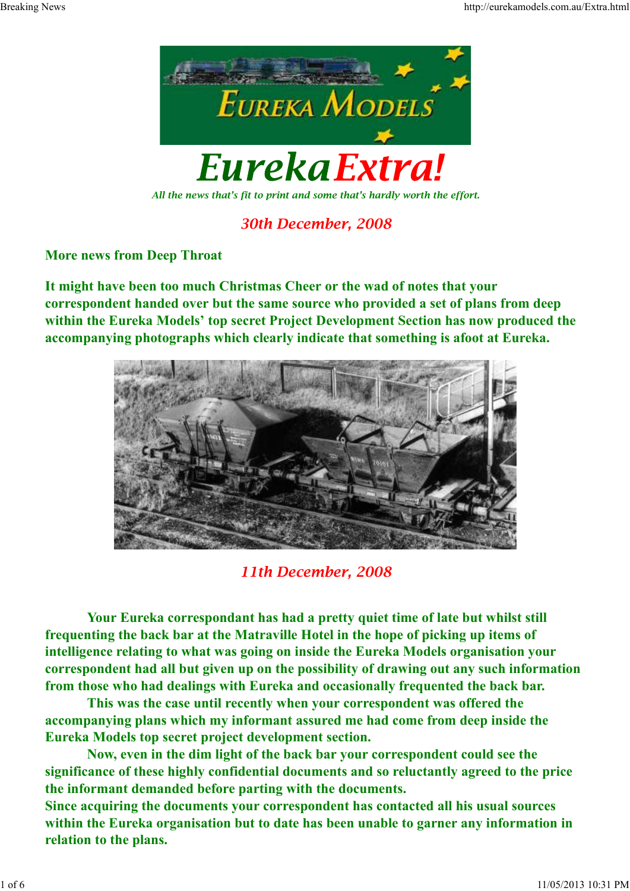

*All the news that's fit to print and some that's hardly worth the effort.*

# *30th December, 2008*

## **More news from Deep Throat**

**It might have been too much Christmas Cheer or the wad of notes that your correspondent handed over but the same source who provided a set of plans from deep within the Eureka Models' top secret Project Development Section has now produced the accompanying photographs which clearly indicate that something is afoot at Eureka.**



*11th December, 2008*

**Your Eureka correspondant has had a pretty quiet time of late but whilst still frequenting the back bar at the Matraville Hotel in the hope of picking up items of intelligence relating to what was going on inside the Eureka Models organisation your correspondent had all but given up on the possibility of drawing out any such information from those who had dealings with Eureka and occasionally frequented the back bar.**

**This was the case until recently when your correspondent was offered the accompanying plans which my informant assured me had come from deep inside the Eureka Models top secret project development section.**

**Now, even in the dim light of the back bar your correspondent could see the significance of these highly confidential documents and so reluctantly agreed to the price the informant demanded before parting with the documents.**

**Since acquiring the documents your correspondent has contacted all his usual sources within the Eureka organisation but to date has been unable to garner any information in relation to the plans.**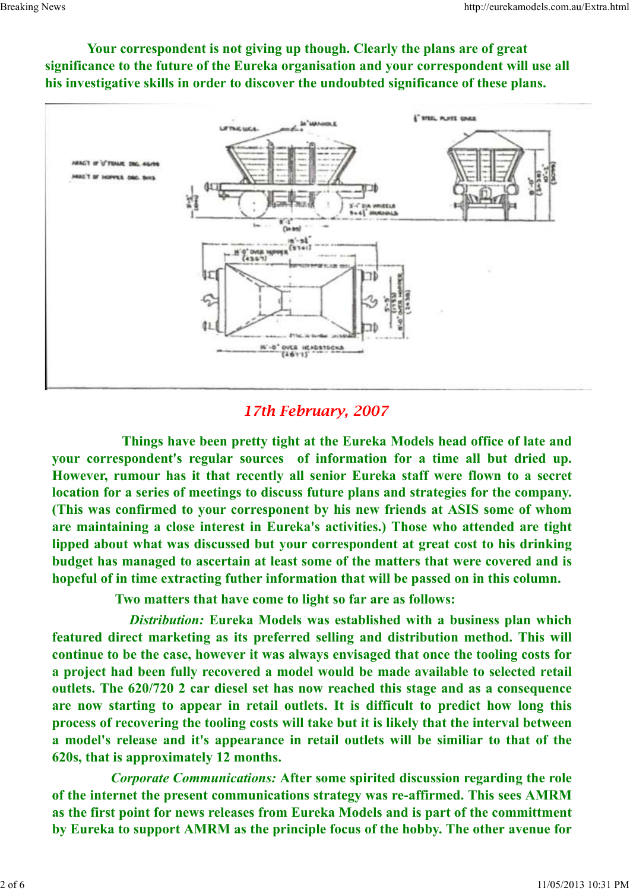

**Your correspondent is not giving up though. Clearly the plans are of great significance to the future of the Eureka organisation and your correspondent will use all his investigative skills in order to discover the undoubted significance of these plans.**

## *17th February, 2007*

**Things have been pretty tight at the Eureka Models head office of late and your correspondent's regular sources of information for a time all but dried up. However, rumour has it that recently all senior Eureka staff were flown to a secret location for a series of meetings to discuss future plans and strategies for the company. (This was confirmed to your corresponent by his new friends at ASIS some of whom are maintaining a close interest in Eureka's activities.) Those who attended are tight lipped about what was discussed but your correspondent at great cost to his drinking budget has managed to ascertain at least some of the matters that were covered and is hopeful of in time extracting futher information that will be passed on in this column.**

 **Two matters that have come to light so far are as follows:**

*Distribution:* **Eureka Models was established with a business plan which featured direct marketing as its preferred selling and distribution method. This will continue to be the case, however it was always envisaged that once the tooling costs for a project had been fully recovered a model would be made available to selected retail outlets. The 620/720 2 car diesel set has now reached this stage and as a consequence are now starting to appear in retail outlets. It is difficult to predict how long this process of recovering the tooling costs will take but it is likely that the interval between a model's release and it's appearance in retail outlets will be similiar to that of the 620s, that is approximately 12 months.**

*Corporate Communications:* **After some spirited discussion regarding the role of the internet the present communications strategy was re-affirmed. This sees AMRM as the first point for news releases from Eureka Models and is part of the committment by Eureka to support AMRM as the principle focus of the hobby. The other avenue for**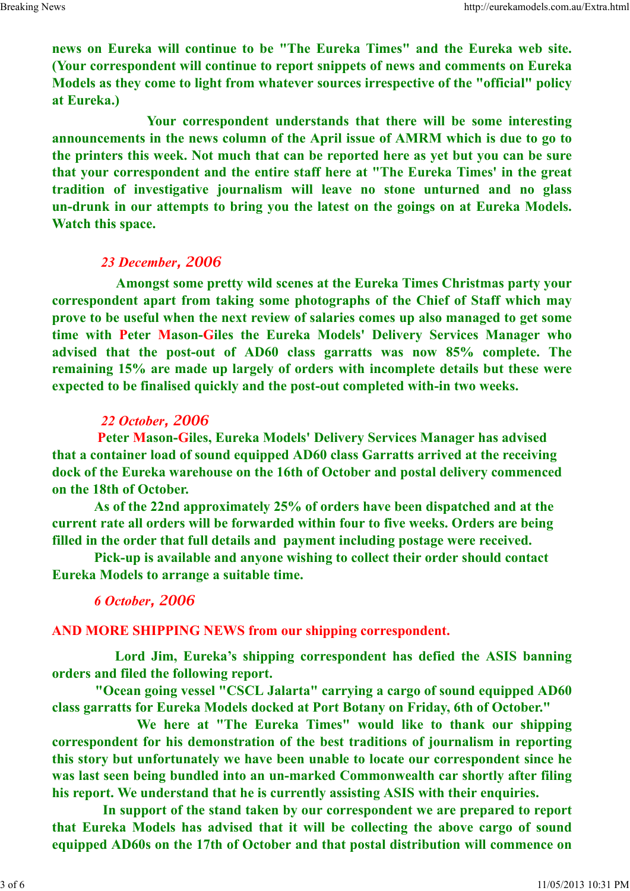**news on Eureka will continue to be "The Eureka Times" and the Eureka web site. (Your correspondent will continue to report snippets of news and comments on Eureka Models as they come to light from whatever sources irrespective of the "official" policy at Eureka.)** 

 **Your correspondent understands that there will be some interesting announcements in the news column of the April issue of AMRM which is due to go to the printers this week. Not much that can be reported here as yet but you can be sure that your correspondent and the entire staff here at "The Eureka Times' in the great tradition of investigative journalism will leave no stone unturned and no glass un-drunk in our attempts to bring you the latest on the goings on at Eureka Models. Watch this space.** 

## *23 December, 2006*

**Amongst some pretty wild scenes at the Eureka Times Christmas party your correspondent apart from taking some photographs of the Chief of Staff which may prove to be useful when the next review of salaries comes up also managed to get some time with Peter Mason-Giles the Eureka Models' Delivery Services Manager who advised that the post-out of AD60 class garratts was now 85% complete. The remaining 15% are made up largely of orders with incomplete details but these were expected to be finalised quickly and the post-out completed with-in two weeks.**

## *22 October, 2006*

 **Peter Mason-Giles, Eureka Models' Delivery Services Manager has advised that a container load of sound equipped AD60 class Garratts arrived at the receiving dock of the Eureka warehouse on the 16th of October and postal delivery commenced on the 18th of October.**

 **As of the 22nd approximately 25% of orders have been dispatched and at the current rate all orders will be forwarded within four to five weeks. Orders are being filled in the order that full details and payment including postage were received.**

 **Pick-up is available and anyone wishing to collect their order should contact Eureka Models to arrange a suitable time.**

## *6 October, 2006*

**AND MORE SHIPPING NEWS from our shipping correspondent.** 

 **Lord Jim, Eureka's shipping correspondent has defied the ASIS banning orders and filed the following report.**

 **"Ocean going vessel "CSCL Jalarta" carrying a cargo of sound equipped AD60 class garratts for Eureka Models docked at Port Botany on Friday, 6th of October."**

 **We here at "The Eureka Times" would like to thank our shipping correspondent for his demonstration of the best traditions of journalism in reporting this story but unfortunately we have been unable to locate our correspondent since he was last seen being bundled into an un-marked Commonwealth car shortly after filing his report. We understand that he is currently assisting ASIS with their enquiries.**

 **In support of the stand taken by our correspondent we are prepared to report that Eureka Models has advised that it will be collecting the above cargo of sound equipped AD60s on the 17th of October and that postal distribution will commence on**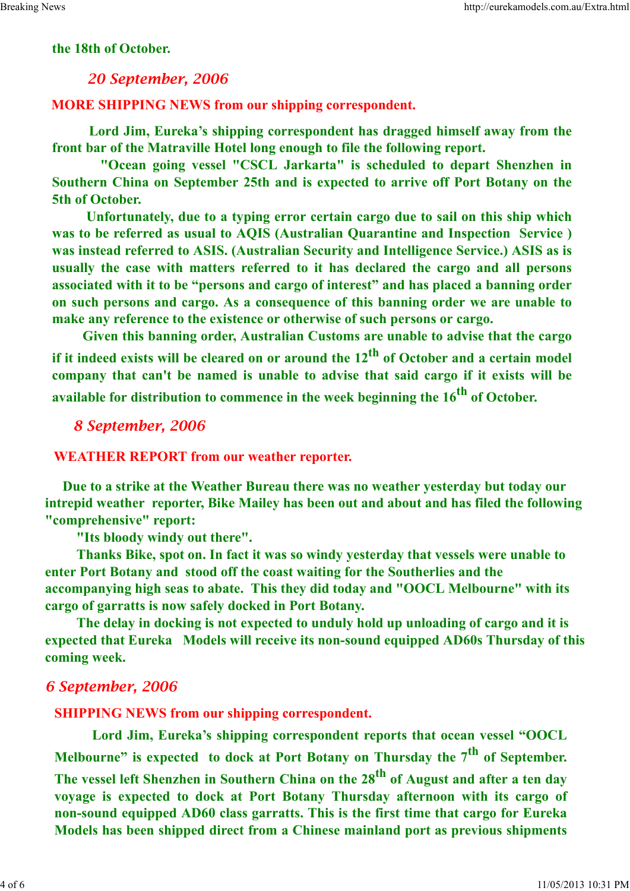#### **the 18th of October.**

## *20 September, 2006*

#### **MORE SHIPPING NEWS from our shipping correspondent.**

 **Lord Jim, Eureka's shipping correspondent has dragged himself away from the front bar of the Matraville Hotel long enough to file the following report.**

 **"Ocean going vessel "CSCL Jarkarta" is scheduled to depart Shenzhen in Southern China on September 25th and is expected to arrive off Port Botany on the 5th of October.** 

 **Unfortunately, due to a typing error certain cargo due to sail on this ship which was to be referred as usual to AQIS (Australian Quarantine and Inspection Service ) was instead referred to ASIS. (Australian Security and Intelligence Service.) ASIS as is usually the case with matters referred to it has declared the cargo and all persons associated with it to be "persons and cargo of interest" and has placed a banning order on such persons and cargo. As a consequence of this banning order we are unable to make any reference to the existence or otherwise of such persons or cargo.**

 **Given this banning order, Australian Customs are unable to advise that the cargo if it indeed exists will be cleared on or around the 12th of October and a certain model company that can't be named is unable to advise that said cargo if it exists will be available for distribution to commence in the week beginning the 16th of October.** 

## *8 September, 2006*

#### **WEATHER REPORT from our weather reporter.**

 **Due to a strike at the Weather Bureau there was no weather yesterday but today our intrepid weather reporter, Bike Mailey has been out and about and has filed the following "comprehensive" report:**

 **"Its bloody windy out there".**

 **Thanks Bike, spot on. In fact it was so windy yesterday that vessels were unable to enter Port Botany and stood off the coast waiting for the Southerlies and the accompanying high seas to abate. This they did today and "OOCL Melbourne" with its cargo of garratts is now safely docked in Port Botany.**

 **The delay in docking is not expected to unduly hold up unloading of cargo and it is expected that Eureka Models will receive its non-sound equipped AD60s Thursday of this coming week.**

#### *6 September, 2006*

**SHIPPING NEWS from our shipping correspondent.**

 **Lord Jim, Eureka's shipping correspondent reports that ocean vessel "OOCL Melbourne" is expected to dock at Port Botany on Thursday the 7th of September. The vessel left Shenzhen in Southern China on the 28th of August and after a ten day voyage is expected to dock at Port Botany Thursday afternoon with its cargo of non-sound equipped AD60 class garratts. This is the first time that cargo for Eureka Models has been shipped direct from a Chinese mainland port as previous shipments**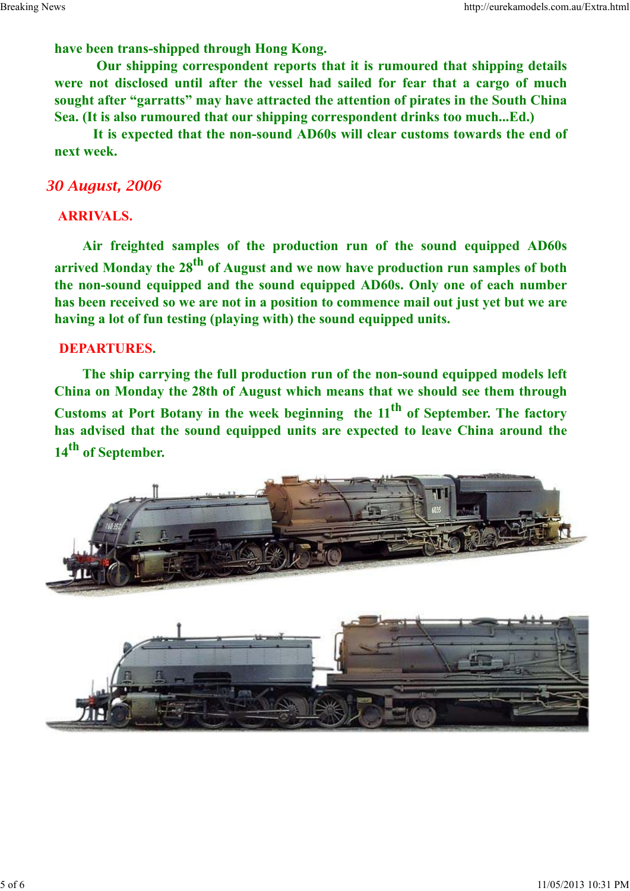**have been trans-shipped through Hong Kong.**

 **Our shipping correspondent reports that it is rumoured that shipping details were not disclosed until after the vessel had sailed for fear that a cargo of much sought after "garratts" may have attracted the attention of pirates in the South China Sea. (It is also rumoured that our shipping correspondent drinks too much...Ed.)**

 **It is expected that the non-sound AD60s will clear customs towards the end of next week.**

#### *30 August, 2006*

## **ARRIVALS.**

**Air freighted samples of the production run of the sound equipped AD60s arrived Monday the 28th of August and we now have production run samples of both the non-sound equipped and the sound equipped AD60s. Only one of each number has been received so we are not in a position to commence mail out just yet but we are having a lot of fun testing (playing with) the sound equipped units.**

#### **DEPARTURES.**

**The ship carrying the full production run of the non-sound equipped models left China on Monday the 28th of August which means that we should see them through Customs at Port Botany in the week beginning the 11th of September. The factory has advised that the sound equipped units are expected to leave China around the 14th of September.**